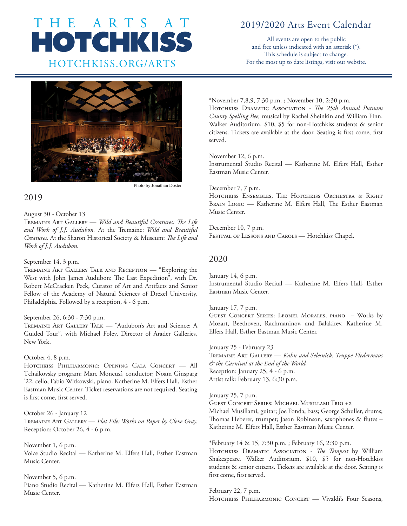

# 2019/2020 Arts Event Calendar

All events are open to the public and free unless indicated with an asterisk (\*). This schedule is subject to change.<br>For the most up to date listings, visit our website.



Photo by Jonathan Doster

# 2019

August 30 - October 13

Tremaine Art Gallery — *Wild and Beautiful Creatures: The Life and Work of J.J. Audubon.* At the Tremaine: *Wild and Beautiful Creatures.* At the Sharon Historical Society & Museum: *The Life and Work of J.J. Audubon.* 

## September 14, 3 p.m.

Tremaine Art Gallery Talk and Reception — "Exploring the West with John James Audubon: The Last Expedition", with Dr. Robert McCracken Peck, Curator of Art and Artifacts and Senior Fellow of the Academy of Natural Sciences of Drexel University, Philadelphia. Followed by a reception, 4 - 6 p.m.

## September 26, 6:30 - 7:30 p.m.

Tremaine Art Gallery Talk — "Audubon's Art and Science: A Guided Tour", with Michael Foley, Director of Arader Galleries, New York.

## October 4, 8 p.m.

HOTCHKISS PHILHARMONIC: OPENING GALA CONCERT - All Tchaikovsky program: Marc Moncusí, conductor; Noam Ginsparg '22, cello; Fabio Witkowski, piano. Katherine M. Elfers Hall, Esther Eastman Music Center. Ticket reservations are not required. Seating is first come, first served.

October 26 - January 12 Tremaine Art Gallery — *Flat File: Works on Paper by Cleve Gray.*  Reception: October 26, 4 - 6 p.m.

November 1, 6 p.m. Voice Studio Recital — Katherine M. Elfers Hall, Esther Eastman Music Center.

November 5, 6 p.m. Piano Studio Recital — Katherine M. Elfers Hall, Esther Eastman Music Center.

\*November 7,8,9, 7:30 p.m. ; November 10, 2:30 p.m. Hotchkiss Dramatic Association - *The 25th Annual Putnam County Spelling Bee,* musical by Rachel Sheinkin and William Finn. Walker Auditorium. \$10, \$5 for non-Hotchkiss students & senior citizens. Tickets are available at the door. Seating is first come, first served.

November 12, 6 p.m. Instrumental Studio Recital — Katherine M. Elfers Hall, Esther Eastman Music Center.

December 7, 7 p.m. HOTCHKISS ENSEMBLES, THE HOTCHKISS ORCHESTRA & RIGHT Brain Logic — Katherine M. Elfers Hall, The Esther Eastman Music Center.

December 10, 7 p.m. FESTIVAL OF LESSONS AND CAROLS - Hotchkiss Chapel.

# 2020

January 14, 6 p.m. Instrumental Studio Recital — Katherine M. Elfers Hall, Esther Eastman Music Center.

January 17, 7 p.m.

Guest Concert Series: Leonel Morales, piano – Works by Mozart, Beethoven, Rachmaninov, and Balakirev. Katherine M. Elfers Hall, Esther Eastman Music Center.

January 25 - February 23 Tremaine Art Gallery — *Kahn and Selesnick: Truppe Fledermaus & the Carnival at the End of the World.*  Reception: January 25, 4 - 6 p.m. Artist talk: February 13, 6:30 p.m.

#### January 25, 7 p.m.

Guest Concert Series: Michael Musillami Trio +2 Michael Musillami, guitar; Joe Fonda, bass; George Schuller, drums; Thomas Heberer, trumpet; Jason Robinson, saxophones & flutes – Katherine M. Elfers Hall, Esther Eastman Music Center.

\*February 14 & 15, 7:30 p.m. ; February 16, 2:30 p.m. HOTCHKISS DRAMATIC ASSOCIATION - The Tempest by William Shakespeare*.* Walker Auditorium. \$10, \$5 for non-Hotchkiss students & senior citizens. Tickets are available at the door. Seating is first come, first served.

February 22, 7 p.m. HOTCHKISS PHILHARMONIC CONCERT - Vivaldi's Four Seasons,